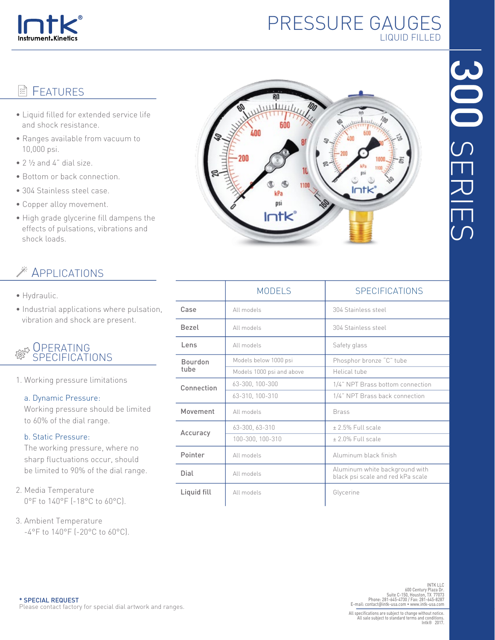

# PRESSURE GAUGES LIQUID FILLED

## **E** FEATURES

- Liquid filled for extended service life and shock resistance.
- Ranges available from vacuum to 10,000 psi.
- $\bullet$  2  $\frac{1}{2}$  and 4" dial size.
- Bottom or back connection.
- 304 Stainless steel case.
- Copper alloy movement.
- High grade glycerine fill dampens the effects of pulsations, vibrations and shock loads.

## APPLICATIONS

- Hydraulic.
- Industrial applications where pulsation, vibration and shock are present.

### **OPERATING** SPECIFICATIONS

1. Working pressure limitations

#### a. Dynamic Pressure:

 Working pressure should be limited to 60% of the dial range.

#### b. Static Pressure:

 The working pressure, where no sharp fluctuations occur, should be limited to 90% of the dial range.

- 2. Media Temperature 0°F to 140°F (-18°C to 60°C).
- 3. Ambient Temperature -4°F to 140°F (-20°C to 60°C).



|                        | <b>MODELS</b>             | <b>SPECIFICATIONS</b>                                               |  |  |  |
|------------------------|---------------------------|---------------------------------------------------------------------|--|--|--|
| Case                   | All models                | 304 Stainless steel                                                 |  |  |  |
| <b>Bezel</b>           | All models                | 304 Stainless steel                                                 |  |  |  |
| Lens                   | All models                | Safety glass                                                        |  |  |  |
| <b>Bourdon</b><br>tube | Models below 1000 psi     | Phosphor bronze "C" tube                                            |  |  |  |
|                        | Models 1000 psi and above | Helical tube                                                        |  |  |  |
| Connection             | 63-300, 100-300           | 1/4" NPT Brass bottom connection                                    |  |  |  |
|                        | 63-310, 100-310           | 1/4" NPT Brass back connection                                      |  |  |  |
| Movement               | All models                | <b>Brass</b>                                                        |  |  |  |
| Accuracy               | 63-300, 63-310            | +2.5% Full scale                                                    |  |  |  |
|                        | 100-300, 100-310          | ± 2.0% Full scale                                                   |  |  |  |
| Pointer                | All models                | Aluminum black finish                                               |  |  |  |
| Dial                   | All models                | Aluminum white background with<br>black psi scale and red kPa scale |  |  |  |
| Liquid fill            | All models                | Glycerine                                                           |  |  |  |
|                        |                           |                                                                     |  |  |  |

INT LLC<br>INTK LLC<br>600 Century Plaza Dr.<br>Phone: 281-645-4730 / Fax: 281-645-4731<br>E-mail: contact@intk-usa.com • www.intk-usa.com<br>E-mail: contact@intk-usa.com • www.intk-usa.com